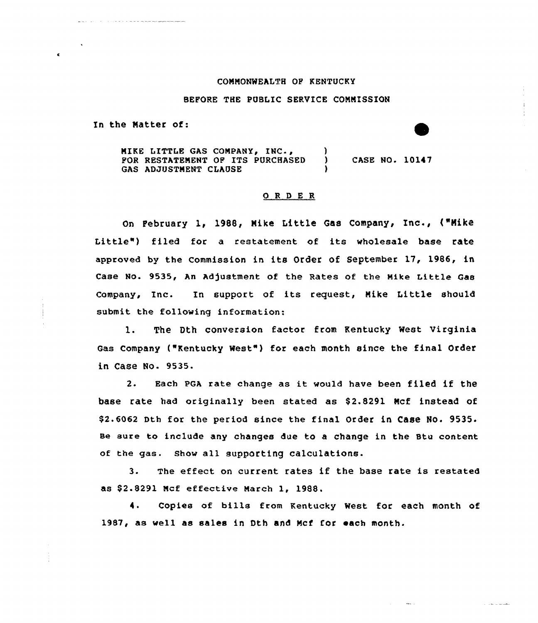## CONNONWEALTH OP KENTUCKY

## BEFORE THE PUBLIC SERVICE CONNISSION

In the Natter of:

MIKE LITTLE GAS COMPANY, INC.,  $\overrightarrow{y}$ FOR RESTATEMENT OP ITS PURCHASED ) CASE NO. 10147 GAS ADJUSTMENT CLAUSE

## O R D E R

On February 1, 1988, Nike Little Gas Company, Inc., ("Nike Little") filed for a restatement of its wholesale base rate approved by the Commission in its Order of September l7, 1986, in Case No. 9535, An Adjustment of the Rates of the Mike Little Gas Company, Inc. In support of its request, Nike Little should submit the following information:

l. The Dth conversion factor from Kentucky West Virginia Gas Company ("Kentucky Nest") for each month since the final Order in Case No. 9535.

2. Each PGA rate change as it would have been filed if the base rate had originally been stated as \$2.8291 Mcf instead of \$2.6062 Dth for the period since the final order in case No. 9535. se sure to include any changes due to a change in the Stu content of the gas. show all supporting calculations-

3. The effect on current rates if the base rate is restated as \$2.8291 Mcf effective March 1, 1988.

4. Copies of bills from Kentucky West for each month of 1987, as well as sales in Dth and Ncf for each month.

بمنابذت للداران